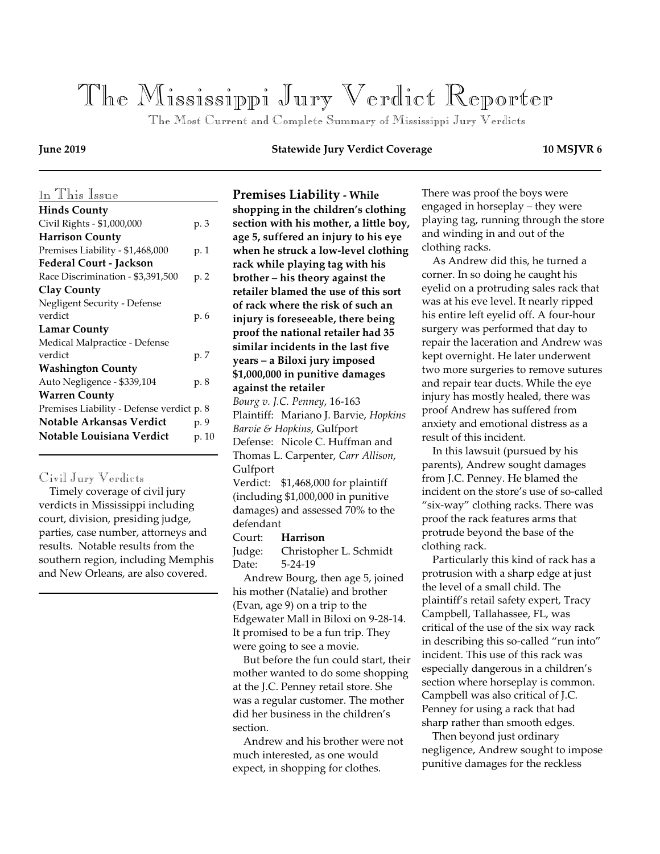# *The Mississippi Jury Verdict Reporter*

 *The Most Current and Complete Summary of Mississippi Jury Verdicts*

#### *In This Issue* **Hinds County** Civil Rights - \$1,000,000 p. 3 **Harrison County** Premises Liability - \$1,468,000 p. 1 **Federal Court - Jackson** Race Discrimination - \$3,391,500 p. 2 **Clay County** Negligent Security - Defense verdict p. 6 **Lamar County** Medical Malpractice - Defense verdict p. 7 **Washington County** Auto Negligence - \$339,104 p. 8 **Warren County** Premises Liability - Defense verdict p. 8 **Notable Arkansas Verdict** p. 9 **Notable Louisiana Verdict** p. 10

#### *Civil Jury Verdicts*

 Timely coverage of civil jury verdicts in Mississippi including court, division, presiding judge, parties, case number, attorneys and results. Notable results from the southern region, including Memphis and New Orleans, are also covered.

#### **June 2019 Statewide Jury Verdict Coverage 10 MSJVR 6**

**Premises Liability - While shopping in the children's clothing section with his mother, a little boy, age 5, suffered an injury to his eye when he struck a low-level clothing rack while playing tag with his brother – his theory against the retailer blamed the use of this sort of rack where the risk of such an injury is foreseeable, there being proof the national retailer had 35 similar incidents in the last five years – a Biloxi jury imposed \$1,000,000 in punitive damages against the retailer** *Bourg v. J.C. Penney*, 16-163 Plaintiff: Mariano J. Barvie, *Hopkins Barvie & Hopkins*, Gulfport Defense: Nicole C. Huffman and Thomas L. Carpenter, *Carr Allison*, Gulfport Verdict: \$1,468,000 for plaintiff (including \$1,000,000 in punitive damages) and assessed 70% to the defendant

### Court: **Harrison**

Judge: Christopher L. Schmidt Date: 5-24-19

 Andrew Bourg, then age 5, joined his mother (Natalie) and brother (Evan, age 9) on a trip to the Edgewater Mall in Biloxi on 9-28-14. It promised to be a fun trip. They were going to see a movie.

 But before the fun could start, their mother wanted to do some shopping at the J.C. Penney retail store. She was a regular customer. The mother did her business in the children's section.

 Andrew and his brother were not much interested, as one would expect, in shopping for clothes.

There was proof the boys were engaged in horseplay – they were playing tag, running through the store and winding in and out of the clothing racks.

 As Andrew did this, he turned a corner. In so doing he caught his eyelid on a protruding sales rack that was at his eve level. It nearly ripped his entire left eyelid off. A four-hour surgery was performed that day to repair the laceration and Andrew was kept overnight. He later underwent two more surgeries to remove sutures and repair tear ducts. While the eye injury has mostly healed, there was proof Andrew has suffered from anxiety and emotional distress as a result of this incident.

 In this lawsuit (pursued by his parents), Andrew sought damages from J.C. Penney. He blamed the incident on the store's use of so-called "six-way" clothing racks. There was proof the rack features arms that protrude beyond the base of the clothing rack.

 Particularly this kind of rack has a protrusion with a sharp edge at just the level of a small child. The plaintiff's retail safety expert, Tracy Campbell, Tallahassee, FL, was critical of the use of the six way rack in describing this so-called "run into" incident. This use of this rack was especially dangerous in a children's section where horseplay is common. Campbell was also critical of J.C. Penney for using a rack that had sharp rather than smooth edges.

 Then beyond just ordinary negligence, Andrew sought to impose punitive damages for the reckless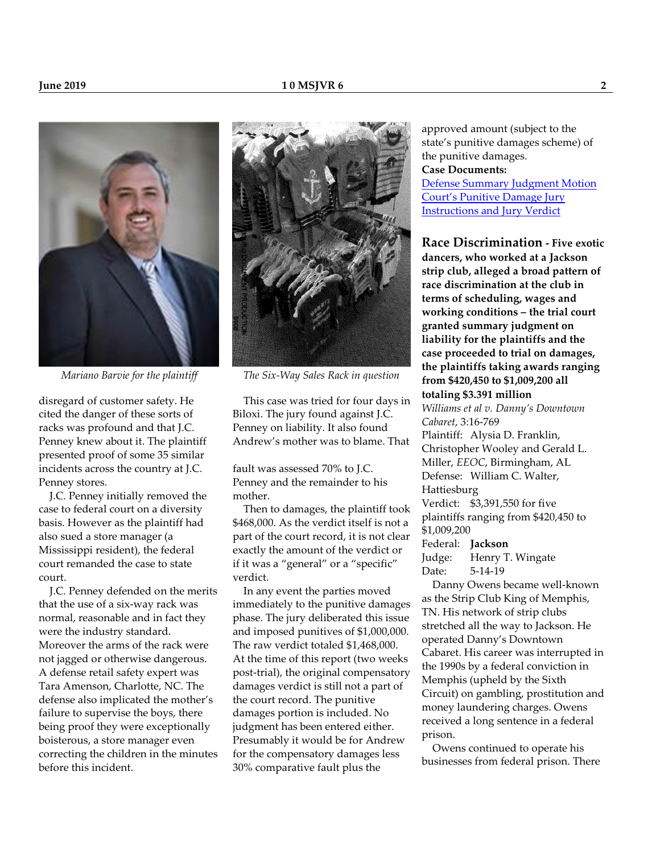

disregard of customer safety. He cited the danger of these sorts of racks was profound and that J.C. Penney knew about it. The plaintiff presented proof of some 35 similar incidents across the country at J.C. Penney stores.

 J.C. Penney initially removed the case to federal court on a diversity basis. However as the plaintiff had also sued a store manager (a Mississippi resident), the federal court remanded the case to state court.

 J.C. Penney defended on the merits that the use of a six-way rack was normal, reasonable and in fact they were the industry standard. Moreover the arms of the rack were not jagged or otherwise dangerous. A defense retail safety expert was Tara Amenson, Charlotte, NC. The defense also implicated the mother's failure to supervise the boys, there being proof they were exceptionally boisterous, a store manager even correcting the children in the minutes before this incident.



*Mariano Barvie for the plaintiff The Six-Way Sales Rack in question*

 This case was tried for four days in Biloxi. The jury found against J.C. Penney on liability. It also found Andrew's mother was to blame. That

fault was assessed 70% to J.C. Penney and the remainder to his mother.

 Then to damages, the plaintiff took \$468,000. As the verdict itself is not a part of the court record, it is not clear exactly the amount of the verdict or if it was a "general" or a "specific" verdict.

 In any event the parties moved immediately to the punitive damages phase. The jury deliberated this issue and imposed punitives of \$1,000,000. The raw verdict totaled \$1,468,000. At the time of this report (two weeks post-trial), the original compensatory damages verdict is still not a part of the court record. The punitive damages portion is included. No judgment has been entered either. Presumably it would be for Andrew for the compensatory damages less 30% comparative fault plus the

approved amount (subject to the state's punitive damages scheme) of the punitive damages. **Case Documents:** [Defense Summary Judgment Motion](http://juryverdicts.net/BourgDSJMot.pdf) [Court's Punitive Damage Jury](http://juryverdicts.net/BourgPunJV.pdf) [Instructions and Jury Verdict](http://juryverdicts.net/BourgPunJV.pdf)

**Race Discrimination - Five exotic dancers, who worked at a Jackson strip club, alleged a broad pattern of race discrimination at the club in terms of scheduling, wages and working conditions – the trial court granted summary judgment on liability for the plaintiffs and the case proceeded to trial on damages, the plaintiffs taking awards ranging from \$420,450 to \$1,009,200 all totaling \$3.391 million** *Williams et al v. Danny's Downtown Cabaret*, 3:16-769 Plaintiff: Alysia D. Franklin, Christopher Wooley and Gerald L. Miller, *EEOC*, Birmingham, AL Defense: William C. Walter, Hattiesburg Verdict: \$3,391,550 for five plaintiffs ranging from \$420,450 to \$1,009,200 Federal: **Jackson** Judge: Henry T. Wingate Date: 5-14-19

 Danny Owens became well-known as the Strip Club King of Memphis, TN. His network of strip clubs stretched all the way to Jackson. He operated Danny's Downtown Cabaret. His career was interrupted in the 1990s by a federal conviction in Memphis (upheld by the Sixth Circuit) on gambling, prostitution and money laundering charges. Owens received a long sentence in a federal prison.

 Owens continued to operate his businesses from federal prison. There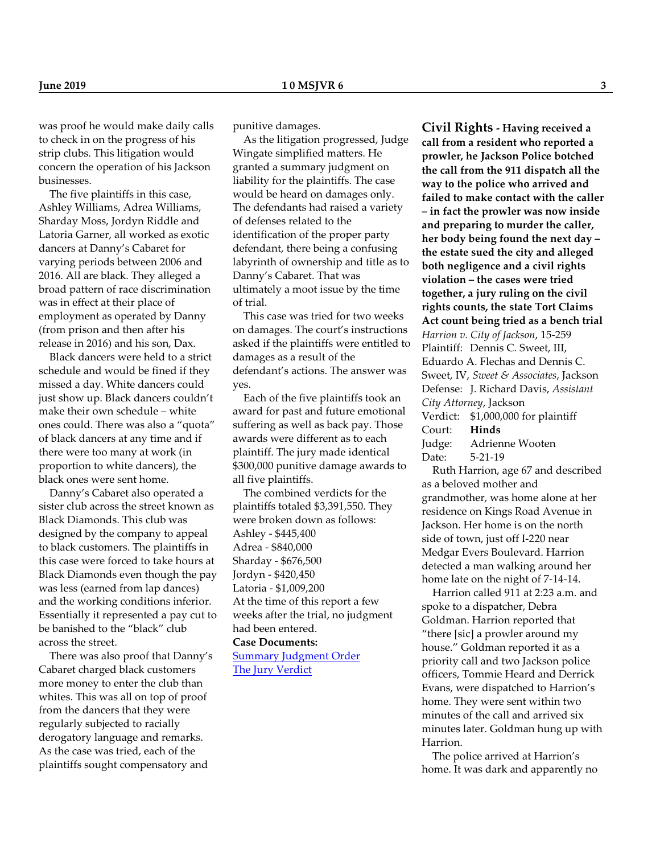was proof he would make daily calls to check in on the progress of his strip clubs. This litigation would concern the operation of his Jackson businesses.

 The five plaintiffs in this case, Ashley Williams, Adrea Williams, Sharday Moss, Jordyn Riddle and Latoria Garner, all worked as exotic dancers at Danny's Cabaret for varying periods between 2006 and 2016. All are black. They alleged a broad pattern of race discrimination was in effect at their place of employment as operated by Danny (from prison and then after his release in 2016) and his son, Dax.

 Black dancers were held to a strict schedule and would be fined if they missed a day. White dancers could just show up. Black dancers couldn't make their own schedule – white ones could. There was also a "quota" of black dancers at any time and if there were too many at work (in proportion to white dancers), the black ones were sent home.

 Danny's Cabaret also operated a sister club across the street known as Black Diamonds. This club was designed by the company to appeal to black customers. The plaintiffs in this case were forced to take hours at Black Diamonds even though the pay was less (earned from lap dances) and the working conditions inferior. Essentially it represented a pay cut to be banished to the "black" club across the street.

 There was also proof that Danny's Cabaret charged black customers more money to enter the club than whites. This was all on top of proof from the dancers that they were regularly subjected to racially derogatory language and remarks. As the case was tried, each of the plaintiffs sought compensatory and

punitive damages.

 As the litigation progressed, Judge Wingate simplified matters. He granted a summary judgment on liability for the plaintiffs. The case would be heard on damages only. The defendants had raised a variety of defenses related to the identification of the proper party defendant, there being a confusing labyrinth of ownership and title as to Danny's Cabaret. That was ultimately a moot issue by the time of trial.

 This case was tried for two weeks on damages. The court's instructions asked if the plaintiffs were entitled to damages as a result of the defendant's actions. The answer was yes.

 Each of the five plaintiffs took an award for past and future emotional suffering as well as back pay. Those awards were different as to each plaintiff. The jury made identical \$300,000 punitive damage awards to all five plaintiffs.

 The combined verdicts for the plaintiffs totaled \$3,391,550. They were broken down as follows: Ashley - \$445,400 Adrea - \$840,000 Sharday - \$676,500 Jordyn - \$420,450 Latoria - \$1,009,200 At the time of this report a few weeks after the trial, no judgment had been entered.

**Case Documents:** [Summary Judgment Order](http://juryverdicts.net/EEOCMSSJO.pdf)

[The Jury Verdict](http://juryverdicts.net/EEOCMSJV.pdf)

**Civil Rights - Having received a call from a resident who reported a prowler, he Jackson Police botched the call from the 911 dispatch all the way to the police who arrived and failed to make contact with the caller – in fact the prowler was now inside and preparing to murder the caller, her body being found the next day – the estate sued the city and alleged both negligence and a civil rights violation – the cases were tried together, a jury ruling on the civil rights counts, the state Tort Claims Act count being tried as a bench trial** *Harrion v. City of Jackson*, 15-259 Plaintiff: Dennis C. Sweet, III, Eduardo A. Flechas and Dennis C. Sweet, IV, *Sweet & Associates*, Jackson Defense: J. Richard Davis, *Assistant City Attorney*, Jackson Verdict: \$1,000,000 for plaintiff Court: **Hinds** Judge: Adrienne Wooten Date: 5-21-19

 Ruth Harrion, age 67 and described as a beloved mother and grandmother, was home alone at her residence on Kings Road Avenue in Jackson. Her home is on the north side of town, just off I-220 near Medgar Evers Boulevard. Harrion detected a man walking around her home late on the night of 7-14-14.

 Harrion called 911 at 2:23 a.m. and spoke to a dispatcher, Debra Goldman. Harrion reported that "there [sic] a prowler around my house." Goldman reported it as a priority call and two Jackson police officers, Tommie Heard and Derrick Evans, were dispatched to Harrion's home. They were sent within two minutes of the call and arrived six minutes later. Goldman hung up with Harrion.

 The police arrived at Harrion's home. It was dark and apparently no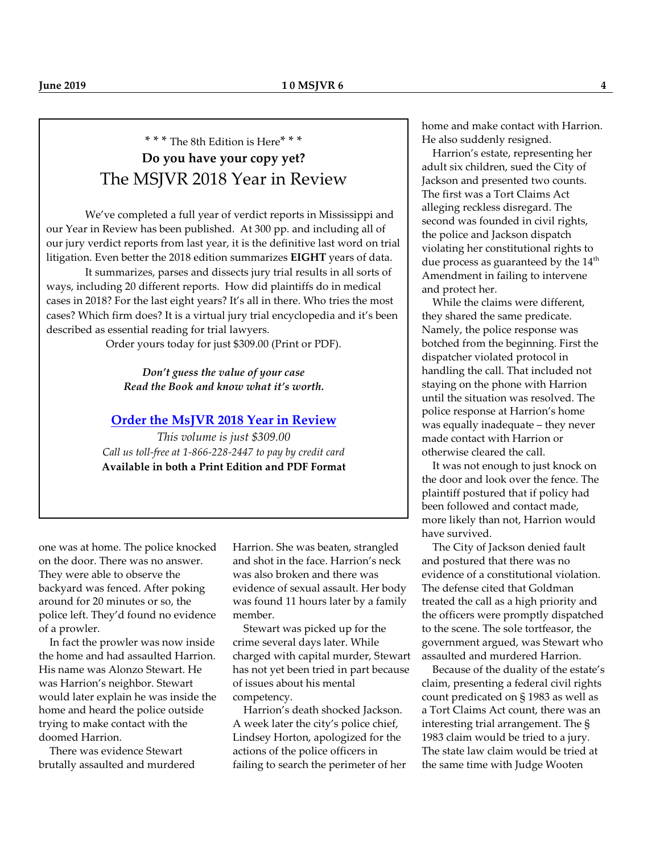## \* \* \* The 8th Edition is Here\* \* \* **Do you have your copy yet?** The MSJVR 2018 Year in Review

We've completed a full year of verdict reports in Mississippi and our Year in Review has been published. At 300 pp. and including all of our jury verdict reports from last year, it is the definitive last word on trial litigation. Even better the 2018 edition summarizes **EIGHT** years of data.

It summarizes, parses and dissects jury trial results in all sorts of ways, including 20 different reports. How did plaintiffs do in medical cases in 2018? For the last eight years? It's all in there. Who tries the most cases? Which firm does? It is a virtual jury trial encyclopedia and it's been described as essential reading for trial lawyers.

Order yours today for just \$309.00 (Print or PDF).

*Don't guess the value of your case Read the Book and know what it's worth.*

#### **[Order the MsJVR 2018 Year in Review](http://store.juryverdicts.net/ormi20yeinre.html)**

*This volume is just \$309.00 Call us toll-free at 1-866-228-2447 to pay by credit card* **Available in both a Print Edition and PDF Format**

one was at home. The police knocked on the door. There was no answer. They were able to observe the backyard was fenced. After poking around for 20 minutes or so, the police left. They'd found no evidence of a prowler.

 In fact the prowler was now inside the home and had assaulted Harrion. His name was Alonzo Stewart. He was Harrion's neighbor. Stewart would later explain he was inside the home and heard the police outside trying to make contact with the doomed Harrion.

 There was evidence Stewart brutally assaulted and murdered

Harrion. She was beaten, strangled and shot in the face. Harrion's neck was also broken and there was evidence of sexual assault. Her body was found 11 hours later by a family member.

 Stewart was picked up for the crime several days later. While charged with capital murder, Stewart has not yet been tried in part because of issues about his mental competency.

 Harrion's death shocked Jackson. A week later the city's police chief, Lindsey Horton, apologized for the actions of the police officers in failing to search the perimeter of her home and make contact with Harrion. He also suddenly resigned.

 Harrion's estate, representing her adult six children, sued the City of Jackson and presented two counts. The first was a Tort Claims Act alleging reckless disregard. The second was founded in civil rights, the police and Jackson dispatch violating her constitutional rights to due process as guaranteed by the  $14^{\rm th}$ Amendment in failing to intervene and protect her.

 While the claims were different, they shared the same predicate. Namely, the police response was botched from the beginning. First the dispatcher violated protocol in handling the call. That included not staying on the phone with Harrion until the situation was resolved. The police response at Harrion's home was equally inadequate – they never made contact with Harrion or otherwise cleared the call.

 It was not enough to just knock on the door and look over the fence. The plaintiff postured that if policy had been followed and contact made, more likely than not, Harrion would have survived.

 The City of Jackson denied fault and postured that there was no evidence of a constitutional violation. The defense cited that Goldman treated the call as a high priority and the officers were promptly dispatched to the scene. The sole tortfeasor, the government argued, was Stewart who assaulted and murdered Harrion.

 Because of the duality of the estate's claim, presenting a federal civil rights count predicated on § 1983 as well as a Tort Claims Act count, there was an interesting trial arrangement. The § 1983 claim would be tried to a jury. The state law claim would be tried at the same time with Judge Wooten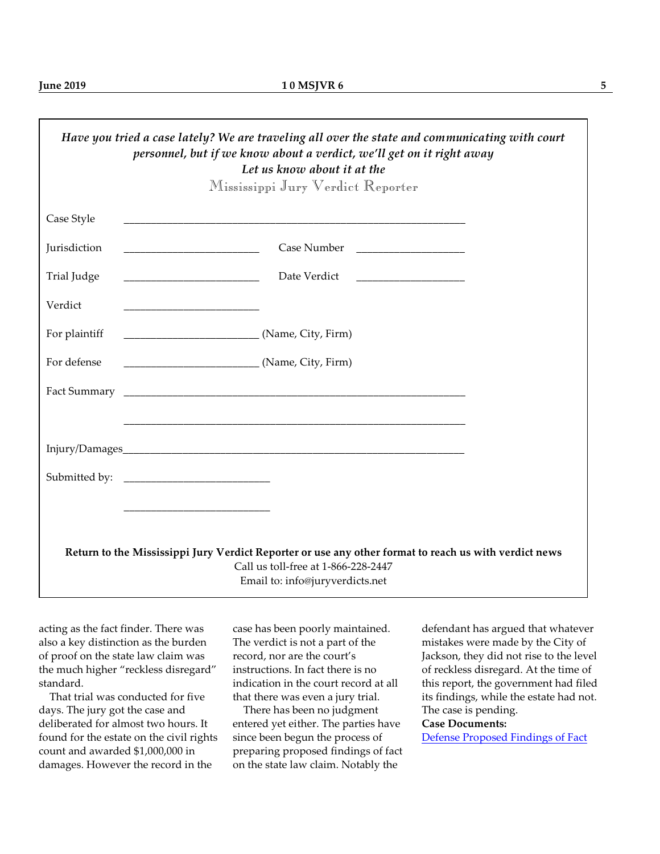|               | Have you tried a case lately? We are traveling all over the state and communicating with court<br>personnel, but if we know about a verdict, we'll get on it right away<br>Let us know about it at the |  |
|---------------|--------------------------------------------------------------------------------------------------------------------------------------------------------------------------------------------------------|--|
|               | Mississippi Jury Verdict Reporter                                                                                                                                                                      |  |
| Case Style    | <u> 1989 - Johann Stoff, amerikansk politiker (* 1908)</u>                                                                                                                                             |  |
| Jurisdiction  |                                                                                                                                                                                                        |  |
| Trial Judge   |                                                                                                                                                                                                        |  |
| Verdict       |                                                                                                                                                                                                        |  |
| For plaintiff |                                                                                                                                                                                                        |  |
| For defense   | __________________________________(Name, City, Firm)                                                                                                                                                   |  |
|               |                                                                                                                                                                                                        |  |
|               |                                                                                                                                                                                                        |  |
|               |                                                                                                                                                                                                        |  |
|               |                                                                                                                                                                                                        |  |
|               |                                                                                                                                                                                                        |  |
|               | Return to the Mississippi Jury Verdict Reporter or use any other format to reach us with verdict news                                                                                                  |  |
|               | Call us toll-free at 1-866-228-2447<br>Email to: info@juryverdicts.net                                                                                                                                 |  |

acting as the fact finder. There was also a key distinction as the burden of proof on the state law claim was the much higher "reckless disregard" standard.

 That trial was conducted for five days. The jury got the case and deliberated for almost two hours. It found for the estate on the civil rights count and awarded \$1,000,000 in damages. However the record in the

case has been poorly maintained. The verdict is not a part of the record, nor are the court's instructions. In fact there is no indication in the court record at all that there was even a jury trial.

 There has been no judgment entered yet either. The parties have since been begun the process of preparing proposed findings of fact on the state law claim. Notably the

defendant has argued that whatever mistakes were made by the City of Jackson, they did not rise to the level of reckless disregard. At the time of this report, the government had filed its findings, while the estate had not. The case is pending.

#### **Case Documents:**

[Defense Proposed Findings of Fact](http://juryverdicts.net/HarrionDFof.pdf)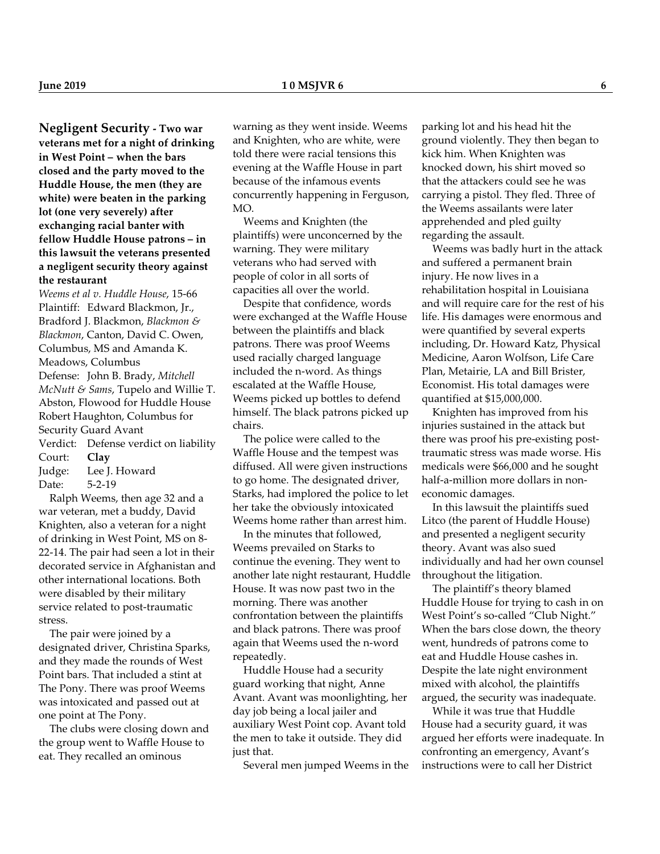**Negligent Security - Two war veterans met for a night of drinking in West Point – when the bars closed and the party moved to the Huddle House, the men (they are white) were beaten in the parking lot (one very severely) after exchanging racial banter with fellow Huddle House patrons – in this lawsuit the veterans presented a negligent security theory against the restaurant**

*Weems et al v. Huddle House*, 15-66 Plaintiff: Edward Blackmon, Jr., Bradford J. Blackmon, *Blackmon & Blackmon*, Canton, David C. Owen, Columbus, MS and Amanda K. Meadows, Columbus Defense: John B. Brady, *Mitchell McNutt & Sams*, Tupelo and Willie T. Abston, Flowood for Huddle House Robert Haughton, Columbus for Security Guard Avant Verdict: Defense verdict on liability Court: **Clay** Judge: Lee J. Howard Date: 5-2-19

 Ralph Weems, then age 32 and a war veteran, met a buddy, David Knighten, also a veteran for a night of drinking in West Point, MS on 8- 22-14. The pair had seen a lot in their decorated service in Afghanistan and other international locations. Both were disabled by their military service related to post-traumatic stress.

 The pair were joined by a designated driver, Christina Sparks, and they made the rounds of West Point bars. That included a stint at The Pony. There was proof Weems was intoxicated and passed out at one point at The Pony.

 The clubs were closing down and the group went to Waffle House to eat. They recalled an ominous

warning as they went inside. Weems and Knighten, who are white, were told there were racial tensions this evening at the Waffle House in part because of the infamous events concurrently happening in Ferguson, MO.

 Weems and Knighten (the plaintiffs) were unconcerned by the warning. They were military veterans who had served with people of color in all sorts of capacities all over the world.

 Despite that confidence, words were exchanged at the Waffle House between the plaintiffs and black patrons. There was proof Weems used racially charged language included the n-word. As things escalated at the Waffle House, Weems picked up bottles to defend himself. The black patrons picked up chairs.

 The police were called to the Waffle House and the tempest was diffused. All were given instructions to go home. The designated driver, Starks, had implored the police to let her take the obviously intoxicated Weems home rather than arrest him.

 In the minutes that followed, Weems prevailed on Starks to continue the evening. They went to another late night restaurant, Huddle House. It was now past two in the morning. There was another confrontation between the plaintiffs and black patrons. There was proof again that Weems used the n-word repeatedly.

 Huddle House had a security guard working that night, Anne Avant. Avant was moonlighting, her day job being a local jailer and auxiliary West Point cop. Avant told the men to take it outside. They did just that.

Several men jumped Weems in the

parking lot and his head hit the ground violently. They then began to kick him. When Knighten was knocked down, his shirt moved so that the attackers could see he was carrying a pistol. They fled. Three of the Weems assailants were later apprehended and pled guilty regarding the assault.

 Weems was badly hurt in the attack and suffered a permanent brain injury. He now lives in a rehabilitation hospital in Louisiana and will require care for the rest of his life. His damages were enormous and were quantified by several experts including, Dr. Howard Katz, Physical Medicine, Aaron Wolfson, Life Care Plan, Metairie, LA and Bill Brister, Economist. His total damages were quantified at \$15,000,000.

 Knighten has improved from his injuries sustained in the attack but there was proof his pre-existing posttraumatic stress was made worse. His medicals were \$66,000 and he sought half-a-million more dollars in noneconomic damages.

 In this lawsuit the plaintiffs sued Litco (the parent of Huddle House) and presented a negligent security theory. Avant was also sued individually and had her own counsel throughout the litigation.

 The plaintiff's theory blamed Huddle House for trying to cash in on West Point's so-called "Club Night." When the bars close down, the theory went, hundreds of patrons come to eat and Huddle House cashes in. Despite the late night environment mixed with alcohol, the plaintiffs argued, the security was inadequate.

 While it was true that Huddle House had a security guard, it was argued her efforts were inadequate. In confronting an emergency, Avant's instructions were to call her District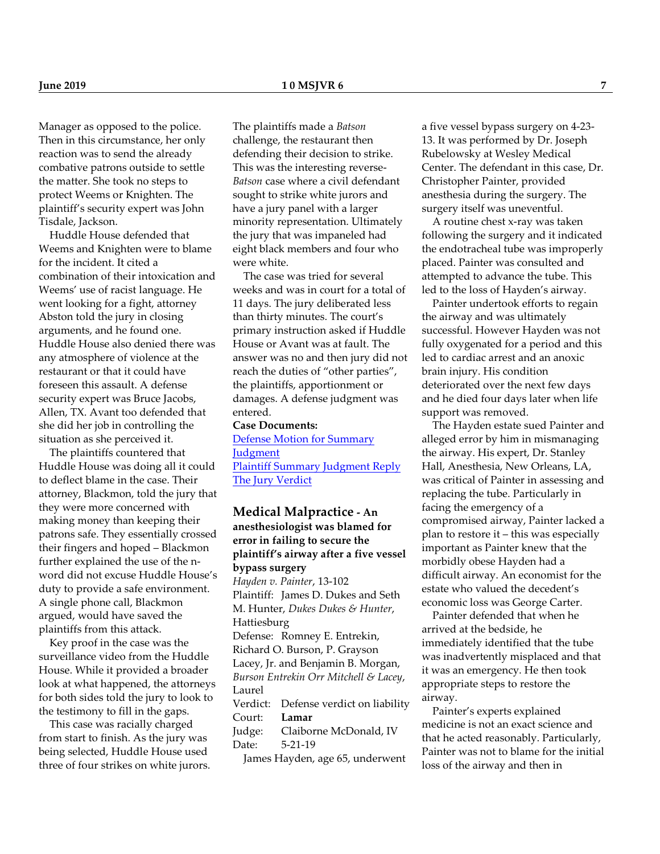Manager as opposed to the police. Then in this circumstance, her only reaction was to send the already combative patrons outside to settle the matter. She took no steps to protect Weems or Knighten. The plaintiff's security expert was John Tisdale, Jackson.

 Huddle House defended that Weems and Knighten were to blame for the incident. It cited a combination of their intoxication and Weems' use of racist language. He went looking for a fight, attorney Abston told the jury in closing arguments, and he found one. Huddle House also denied there was any atmosphere of violence at the restaurant or that it could have foreseen this assault. A defense security expert was Bruce Jacobs, Allen, TX. Avant too defended that she did her job in controlling the situation as she perceived it.

 The plaintiffs countered that Huddle House was doing all it could to deflect blame in the case. Their attorney, Blackmon, told the jury that they were more concerned with making money than keeping their patrons safe. They essentially crossed their fingers and hoped – Blackmon further explained the use of the nword did not excuse Huddle House's duty to provide a safe environment. A single phone call, Blackmon argued, would have saved the plaintiffs from this attack.

 Key proof in the case was the surveillance video from the Huddle House. While it provided a broader look at what happened, the attorneys for both sides told the jury to look to the testimony to fill in the gaps.

 This case was racially charged from start to finish. As the jury was being selected, Huddle House used three of four strikes on white jurors. The plaintiffs made a *Batson* challenge, the restaurant then defending their decision to strike. This was the interesting reverse-*Batson* case where a civil defendant sought to strike white jurors and have a jury panel with a larger minority representation. Ultimately the jury that was impaneled had eight black members and four who were white.

 The case was tried for several weeks and was in court for a total of 11 days. The jury deliberated less than thirty minutes. The court's primary instruction asked if Huddle House or Avant was at fault. The answer was no and then jury did not reach the duties of "other parties", the plaintiffs, apportionment or damages. A defense judgment was entered.

#### **Case Documents:**

[Defense Motion for Summary](http://juryverdicts.net/RalphWeemsDSJ.pdf) **[Judgment](http://juryverdicts.net/RalphWeemsDSJ.pdf)** [Plaintiff Summary Judgment Reply](http://juryverdicts.net/RalphWeemsPSJReply.pdf) [The Jury Verdict](http://juryverdicts.net/RalphWeemsJV.pdf)

**Medical Malpractice - An anesthesiologist was blamed for error in failing to secure the plaintiff's airway after a five vessel bypass surgery** *Hayden v. Painter*, 13-102 Plaintiff: James D. Dukes and Seth M. Hunter, *Dukes Dukes & Hunter*, Hattiesburg

Defense: Romney E. Entrekin, Richard O. Burson, P. Grayson Lacey, Jr. and Benjamin B. Morgan, *Burson Entrekin Orr Mitchell & Lacey*, Laurel

Verdict: Defense verdict on liability Court: **Lamar** Judge: Claiborne McDonald, IV

Date: 5-21-19

James Hayden, age 65, underwent

a five vessel bypass surgery on 4-23- 13. It was performed by Dr. Joseph Rubelowsky at Wesley Medical Center. The defendant in this case, Dr. Christopher Painter, provided anesthesia during the surgery. The surgery itself was uneventful.

 A routine chest x-ray was taken following the surgery and it indicated the endotracheal tube was improperly placed. Painter was consulted and attempted to advance the tube. This led to the loss of Hayden's airway.

 Painter undertook efforts to regain the airway and was ultimately successful. However Hayden was not fully oxygenated for a period and this led to cardiac arrest and an anoxic brain injury. His condition deteriorated over the next few days and he died four days later when life support was removed.

 The Hayden estate sued Painter and alleged error by him in mismanaging the airway. His expert, Dr. Stanley Hall, Anesthesia, New Orleans, LA, was critical of Painter in assessing and replacing the tube. Particularly in facing the emergency of a compromised airway, Painter lacked a plan to restore it – this was especially important as Painter knew that the morbidly obese Hayden had a difficult airway. An economist for the estate who valued the decedent's economic loss was George Carter.

 Painter defended that when he arrived at the bedside, he immediately identified that the tube was inadvertently misplaced and that it was an emergency. He then took appropriate steps to restore the airway.

 Painter's experts explained medicine is not an exact science and that he acted reasonably. Particularly, Painter was not to blame for the initial loss of the airway and then in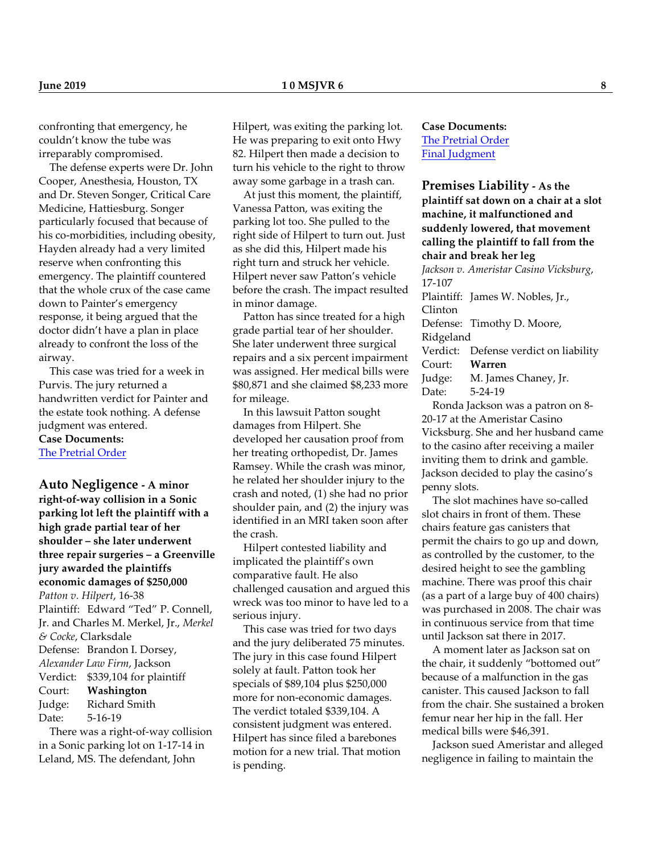confronting that emergency, he couldn't know the tube was irreparably compromised.

 The defense experts were Dr. John Cooper, Anesthesia, Houston, TX and Dr. Steven Songer, Critical Care Medicine, Hattiesburg. Songer particularly focused that because of his co-morbidities, including obesity, Hayden already had a very limited reserve when confronting this emergency. The plaintiff countered that the whole crux of the case came down to Painter's emergency response, it being argued that the doctor didn't have a plan in place already to confront the loss of the airway.

 This case was tried for a week in Purvis. The jury returned a handwritten verdict for Painter and the estate took nothing. A defense judgment was entered. **Case Documents:** [The Pretrial Order](http://juryverdicts.net/JamesHaydenPTO.pdf)

**Auto Negligence - A minor right-of-way collision in a Sonic parking lot left the plaintiff with a high grade partial tear of her shoulder – she later underwent three repair surgeries – a Greenville jury awarded the plaintiffs economic damages of \$250,000** *Patton v. Hilpert*, 16-38 Plaintiff: Edward "Ted" P. Connell, Jr. and Charles M. Merkel, Jr., *Merkel & Cocke*, Clarksdale Defense: Brandon I. Dorsey, *Alexander Law Firm*, Jackson Verdict: \$339,104 for plaintiff Court: **Washington** Judge: Richard Smith Date: 5-16-19

 There was a right-of-way collision in a Sonic parking lot on 1-17-14 in Leland, MS. The defendant, John

Hilpert, was exiting the parking lot. He was preparing to exit onto Hwy 82. Hilpert then made a decision to turn his vehicle to the right to throw away some garbage in a trash can.

 At just this moment, the plaintiff, Vanessa Patton, was exiting the parking lot too. She pulled to the right side of Hilpert to turn out. Just as she did this, Hilpert made his right turn and struck her vehicle. Hilpert never saw Patton's vehicle before the crash. The impact resulted in minor damage.

 Patton has since treated for a high grade partial tear of her shoulder. She later underwent three surgical repairs and a six percent impairment was assigned. Her medical bills were \$80,871 and she claimed \$8,233 more for mileage.

 In this lawsuit Patton sought damages from Hilpert. She developed her causation proof from her treating orthopedist, Dr. James Ramsey. While the crash was minor, he related her shoulder injury to the crash and noted, (1) she had no prior shoulder pain, and (2) the injury was identified in an MRI taken soon after the crash.

 Hilpert contested liability and implicated the plaintiff's own comparative fault. He also challenged causation and argued this wreck was too minor to have led to a serious injury.

 This case was tried for two days and the jury deliberated 75 minutes. The jury in this case found Hilpert solely at fault. Patton took her specials of \$89,104 plus \$250,000 more for non-economic damages. The verdict totaled \$339,104. A consistent judgment was entered. Hilpert has since filed a barebones motion for a new trial. That motion is pending.

**Case Documents:** [The Pretrial Order](http://juryverdicts.net/VanessaPattonPTO.pdf) [Final Judgment](http://juryverdicts.net/VanessaPattonJO.pdf)

**Premises Liability - As the plaintiff sat down on a chair at a slot machine, it malfunctioned and suddenly lowered, that movement calling the plaintiff to fall from the chair and break her leg** *Jackson v. Ameristar Casino Vicksburg*, 17-107

Plaintiff: James W. Nobles, Jr., Clinton Defense: Timothy D. Moore, Ridgeland Verdict: Defense verdict on liability Court: **Warren** Judge: M. James Chaney, Jr. Date: 5-24-19 Ronda Jackson was a patron on 8-

20-17 at the Ameristar Casino Vicksburg. She and her husband came to the casino after receiving a mailer inviting them to drink and gamble. Jackson decided to play the casino's penny slots.

 The slot machines have so-called slot chairs in front of them. These chairs feature gas canisters that permit the chairs to go up and down, as controlled by the customer, to the desired height to see the gambling machine. There was proof this chair (as a part of a large buy of 400 chairs) was purchased in 2008. The chair was in continuous service from that time until Jackson sat there in 2017.

 A moment later as Jackson sat on the chair, it suddenly "bottomed out" because of a malfunction in the gas canister. This caused Jackson to fall from the chair. She sustained a broken femur near her hip in the fall. Her medical bills were \$46,391.

 Jackson sued Ameristar and alleged negligence in failing to maintain the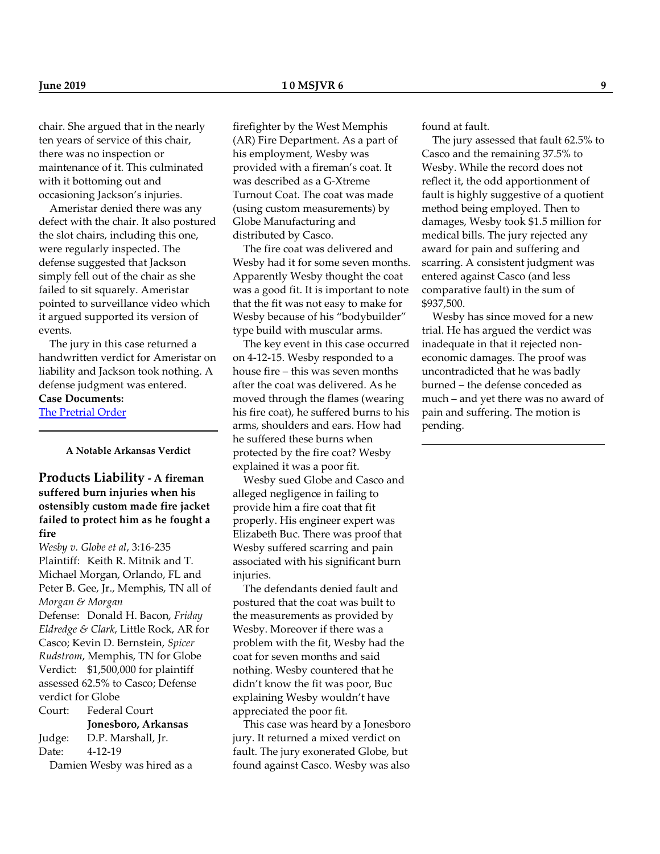chair. She argued that in the nearly ten years of service of this chair, there was no inspection or maintenance of it. This culminated with it bottoming out and occasioning Jackson's injuries.

 Ameristar denied there was any defect with the chair. It also postured the slot chairs, including this one, were regularly inspected. The defense suggested that Jackson simply fell out of the chair as she failed to sit squarely. Ameristar pointed to surveillance video which it argued supported its version of events.

 The jury in this case returned a handwritten verdict for Ameristar on liability and Jackson took nothing. A defense judgment was entered.

#### **Case Documents:**

[The Pretrial Order](http://juryverdicts.net/RondaJacksonPTO.pdf)

**A Notable Arkansas Verdict**

**Products Liability - A fireman suffered burn injuries when his ostensibly custom made fire jacket failed to protect him as he fought a fire**

*Wesby v. Globe et al*, 3:16-235 Plaintiff: Keith R. Mitnik and T. Michael Morgan, Orlando, FL and Peter B. Gee, Jr., Memphis, TN all of *Morgan & Morgan* Defense: Donald H. Bacon, *Friday Eldredge & Clark*, Little Rock, AR for Casco; Kevin D. Bernstein, *Spicer Rudstrom*, Memphis, TN for Globe Verdict: \$1,500,000 for plaintiff assessed 62.5% to Casco; Defense verdict for Globe Court: Federal Court **Jonesboro, Arkansas** Judge: D.P. Marshall, Jr.

Date: 4-12-19 Damien Wesby was hired as a

firefighter by the West Memphis (AR) Fire Department. As a part of his employment, Wesby was provided with a fireman's coat. It was described as a G-Xtreme Turnout Coat. The coat was made (using custom measurements) by Globe Manufacturing and distributed by Casco.

 The fire coat was delivered and Wesby had it for some seven months. Apparently Wesby thought the coat was a good fit. It is important to note that the fit was not easy to make for Wesby because of his "bodybuilder" type build with muscular arms.

 The key event in this case occurred on 4-12-15. Wesby responded to a house fire – this was seven months after the coat was delivered. As he moved through the flames (wearing his fire coat), he suffered burns to his arms, shoulders and ears. How had he suffered these burns when protected by the fire coat? Wesby explained it was a poor fit.

 Wesby sued Globe and Casco and alleged negligence in failing to provide him a fire coat that fit properly. His engineer expert was Elizabeth Buc. There was proof that Wesby suffered scarring and pain associated with his significant burn injuries.

 The defendants denied fault and postured that the coat was built to the measurements as provided by Wesby. Moreover if there was a problem with the fit, Wesby had the coat for seven months and said nothing. Wesby countered that he didn't know the fit was poor, Buc explaining Wesby wouldn't have appreciated the poor fit.

 This case was heard by a Jonesboro jury. It returned a mixed verdict on fault. The jury exonerated Globe, but found against Casco. Wesby was also

found at fault.

 The jury assessed that fault 62.5% to Casco and the remaining 37.5% to Wesby. While the record does not reflect it, the odd apportionment of fault is highly suggestive of a quotient method being employed. Then to damages, Wesby took \$1.5 million for medical bills. The jury rejected any award for pain and suffering and scarring. A consistent judgment was entered against Casco (and less comparative fault) in the sum of \$937,500.

 Wesby has since moved for a new trial. He has argued the verdict was inadequate in that it rejected noneconomic damages. The proof was uncontradicted that he was badly burned – the defense conceded as much – and yet there was no award of pain and suffering. The motion is pending.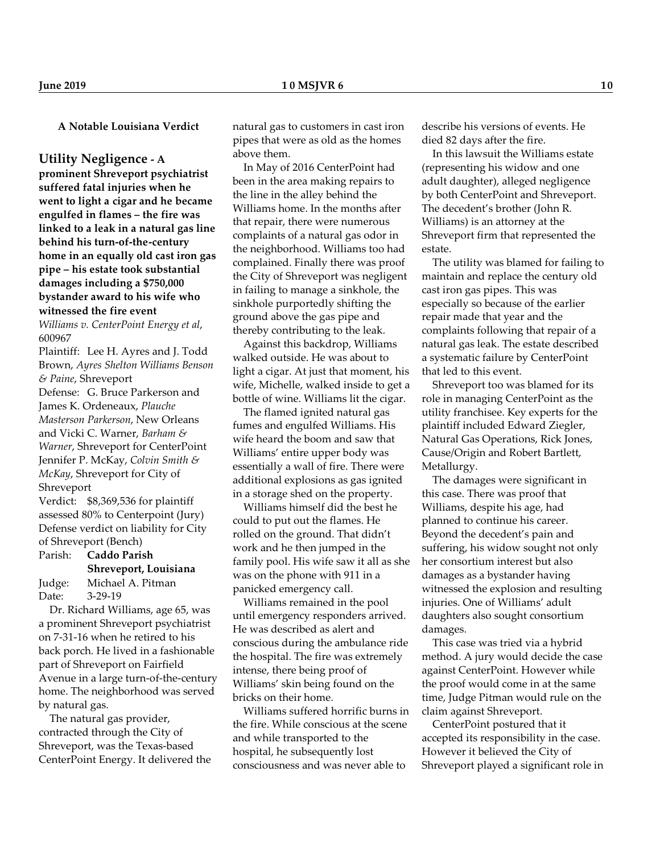**A Notable Louisiana Verdict**

**Utility Negligence - A**

**prominent Shreveport psychiatrist suffered fatal injuries when he went to light a cigar and he became engulfed in flames – the fire was linked to a leak in a natural gas line behind his turn-of-the-century home in an equally old cast iron gas pipe – his estate took substantial damages including a \$750,000 bystander award to his wife who witnessed the fire event**

*Williams v. CenterPoint Energy et al*, 600967

Plaintiff: Lee H. Ayres and J. Todd Brown, *Ayres Shelton Williams Benson & Paine*, Shreveport

Defense: G. Bruce Parkerson and James K. Ordeneaux, *Plauche Masterson Parkerson*, New Orleans and Vicki C. Warner, *Barham & Warner*, Shreveport for CenterPoint Jennifer P. McKay, *Colvin Smith & McKay*, Shreveport for City of Shreveport

Verdict: \$8,369,536 for plaintiff assessed 80% to Centerpoint (Jury) Defense verdict on liability for City of Shreveport (Bench)

|        | Parish: <b>Caddo Parish</b> |  |
|--------|-----------------------------|--|
|        | Shreveport, Louisiana       |  |
| Judge: | Michael A. Pitman           |  |
| Date:  | $3-29-19$                   |  |

 Dr. Richard Williams, age 65, was a prominent Shreveport psychiatrist on 7-31-16 when he retired to his back porch. He lived in a fashionable part of Shreveport on Fairfield Avenue in a large turn-of-the-century home. The neighborhood was served by natural gas.

 The natural gas provider, contracted through the City of Shreveport, was the Texas-based CenterPoint Energy. It delivered the natural gas to customers in cast iron pipes that were as old as the homes above them.

 In May of 2016 CenterPoint had been in the area making repairs to the line in the alley behind the Williams home. In the months after that repair, there were numerous complaints of a natural gas odor in the neighborhood. Williams too had complained. Finally there was proof the City of Shreveport was negligent in failing to manage a sinkhole, the sinkhole purportedly shifting the ground above the gas pipe and thereby contributing to the leak.

 Against this backdrop, Williams walked outside. He was about to light a cigar. At just that moment, his wife, Michelle, walked inside to get a bottle of wine. Williams lit the cigar.

 The flamed ignited natural gas fumes and engulfed Williams. His wife heard the boom and saw that Williams' entire upper body was essentially a wall of fire. There were additional explosions as gas ignited in a storage shed on the property.

 Williams himself did the best he could to put out the flames. He rolled on the ground. That didn't work and he then jumped in the family pool. His wife saw it all as she was on the phone with 911 in a panicked emergency call.

 Williams remained in the pool until emergency responders arrived. He was described as alert and conscious during the ambulance ride the hospital. The fire was extremely intense, there being proof of Williams' skin being found on the bricks on their home.

 Williams suffered horrific burns in the fire. While conscious at the scene and while transported to the hospital, he subsequently lost consciousness and was never able to

describe his versions of events. He died 82 days after the fire.

 In this lawsuit the Williams estate (representing his widow and one adult daughter), alleged negligence by both CenterPoint and Shreveport. The decedent's brother (John R. Williams) is an attorney at the Shreveport firm that represented the estate.

 The utility was blamed for failing to maintain and replace the century old cast iron gas pipes. This was especially so because of the earlier repair made that year and the complaints following that repair of a natural gas leak. The estate described a systematic failure by CenterPoint that led to this event.

 Shreveport too was blamed for its role in managing CenterPoint as the utility franchisee. Key experts for the plaintiff included Edward Ziegler, Natural Gas Operations, Rick Jones, Cause/Origin and Robert Bartlett, Metallurgy.

 The damages were significant in this case. There was proof that Williams, despite his age, had planned to continue his career. Beyond the decedent's pain and suffering, his widow sought not only her consortium interest but also damages as a bystander having witnessed the explosion and resulting injuries. One of Williams' adult daughters also sought consortium damages.

 This case was tried via a hybrid method. A jury would decide the case against CenterPoint. However while the proof would come in at the same time, Judge Pitman would rule on the claim against Shreveport.

 CenterPoint postured that it accepted its responsibility in the case. However it believed the City of Shreveport played a significant role in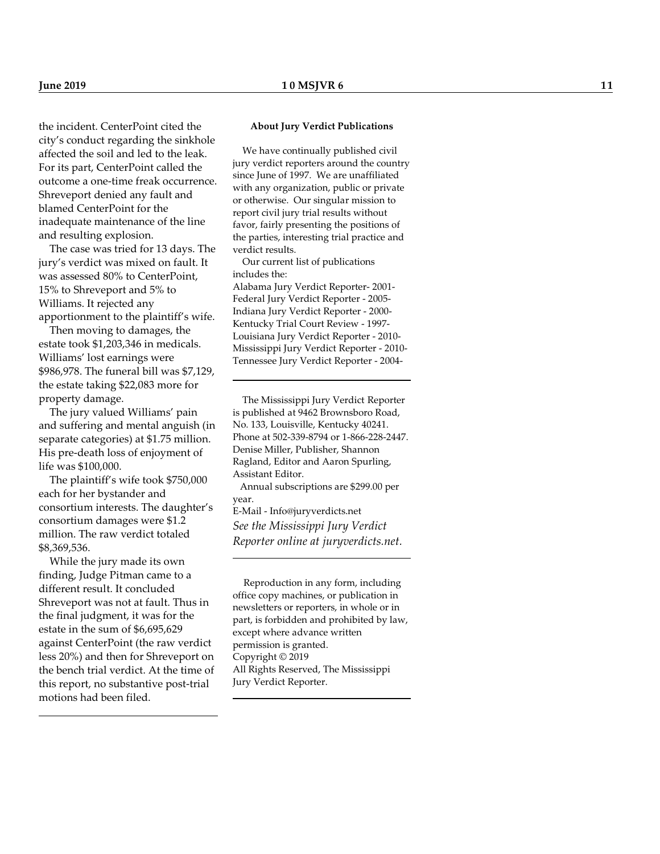the incident. CenterPoint cited the city's conduct regarding the sinkhole affected the soil and led to the leak. For its part, CenterPoint called the outcome a one-time freak occurrence. Shreveport denied any fault and blamed CenterPoint for the inadequate maintenance of the line and resulting explosion.

 The case was tried for 13 days. The jury's verdict was mixed on fault. It was assessed 80% to CenterPoint, 15% to Shreveport and 5% to Williams. It rejected any apportionment to the plaintiff's wife.

 Then moving to damages, the estate took \$1,203,346 in medicals. Williams' lost earnings were \$986,978. The funeral bill was \$7,129, the estate taking \$22,083 more for property damage.

 The jury valued Williams' pain and suffering and mental anguish (in separate categories) at \$1.75 million. His pre-death loss of enjoyment of life was \$100,000.

 The plaintiff's wife took \$750,000 each for her bystander and consortium interests. The daughter's consortium damages were \$1.2 million. The raw verdict totaled \$8,369,536.

 While the jury made its own finding, Judge Pitman came to a different result. It concluded Shreveport was not at fault. Thus in the final judgment, it was for the estate in the sum of \$6,695,629 against CenterPoint (the raw verdict less 20%) and then for Shreveport on the bench trial verdict. At the time of this report, no substantive post-trial motions had been filed.

#### **About Jury Verdict Publications**

 We have continually published civil jury verdict reporters around the country since June of 1997. We are unaffiliated with any organization, public or private or otherwise. Our singular mission to report civil jury trial results without favor, fairly presenting the positions of the parties, interesting trial practice and verdict results.

 Our current list of publications includes the:

Alabama Jury Verdict Reporter- 2001- Federal Jury Verdict Reporter - 2005- Indiana Jury Verdict Reporter - 2000- Kentucky Trial Court Review - 1997- Louisiana Jury Verdict Reporter - 2010- Mississippi Jury Verdict Reporter - 2010- Tennessee Jury Verdict Reporter - 2004-

 The Mississippi Jury Verdict Reporter is published at 9462 Brownsboro Road, No. 133, Louisville, Kentucky 40241. Phone at 502-339-8794 or 1-866-228-2447. Denise Miller, Publisher, Shannon Ragland, Editor and Aaron Spurling, Assistant Editor.

 Annual subscriptions are \$299.00 per year. E-Mail - Info@juryverdicts.net

*See the Mississippi Jury Verdict Reporter online at juryverdicts.net.*

L

 Reproduction in any form, including office copy machines, or publication in newsletters or reporters, in whole or in part, is forbidden and prohibited by law, except where advance written permission is granted. Copyright © 2019 All Rights Reserved, The Mississippi Jury Verdict Reporter.